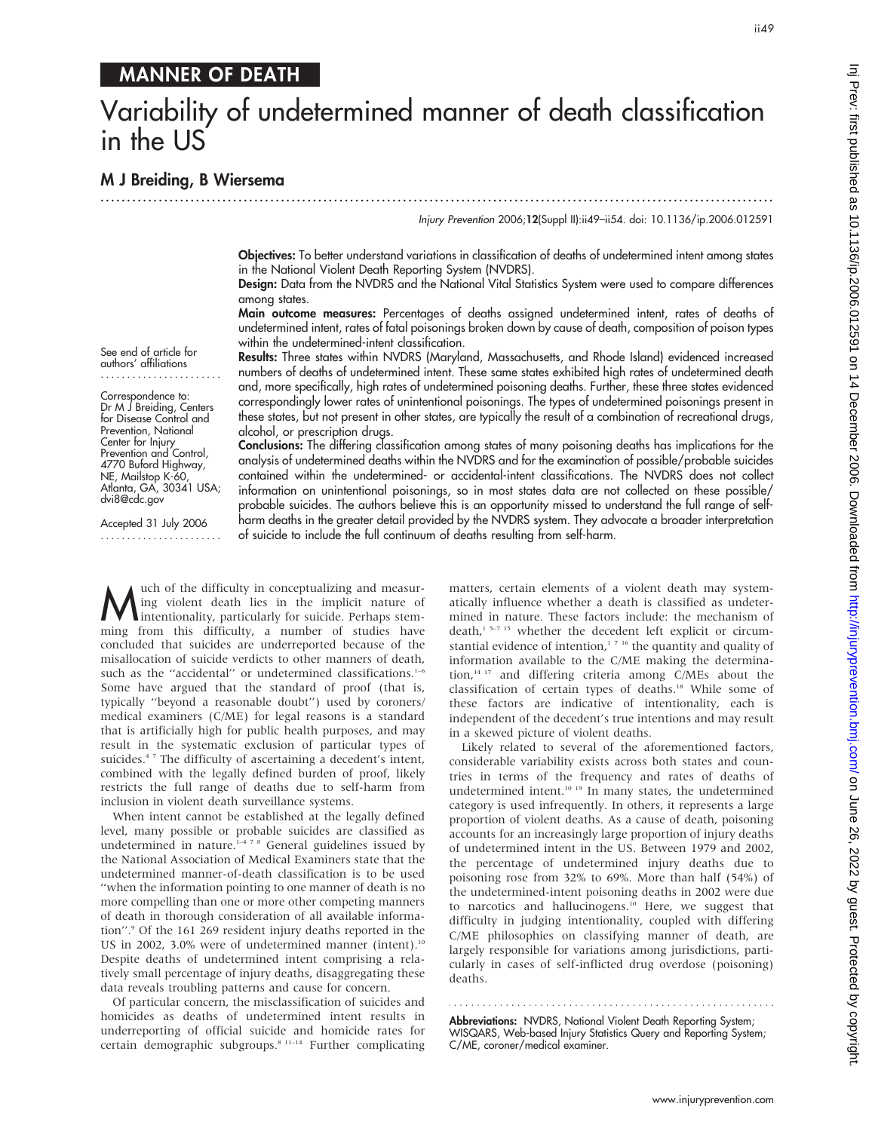# MANNER OF DEATH

# Variability of undetermined manner of death classification in the US

.............................................................................................................................. .

# M J Breiding, B Wiersema

Injury Prevention 2006;12(Suppl II):ii49–ii54. doi: 10.1136/ip.2006.012591

Objectives: To better understand variations in classification of deaths of undetermined intent among states in the National Violent Death Reporting System (NVDRS).

Design: Data from the NVDRS and the National Vital Statistics System were used to compare differences among states.

Main outcome measures: Percentages of deaths assigned undetermined intent, rates of deaths of undetermined intent, rates of fatal poisonings broken down by cause of death, composition of poison types within the undetermined-intent classification.

See end of article for authors' affiliations .......................

Correspondence to: Dr M J Breiding, Centers for Disease Control and Prevention, National Center for Injury Prevention and Control, 4770 Buford Highway, NE, Mailstop K-60, Atlanta, GA, 30341 USA; dvi8@cdc.gov

Accepted 31 July 2006 ....................... Results: Three states within NVDRS (Maryland, Massachusetts, and Rhode Island) evidenced increased numbers of deaths of undetermined intent. These same states exhibited high rates of undetermined death and, more specifically, high rates of undetermined poisoning deaths. Further, these three states evidenced correspondingly lower rates of unintentional poisonings. The types of undetermined poisonings present in these states, but not present in other states, are typically the result of a combination of recreational drugs, alcohol, or prescription drugs.

Conclusions: The differing classification among states of many poisoning deaths has implications for the analysis of undetermined deaths within the NVDRS and for the examination of possible/probable suicides contained within the undetermined- or accidental-intent classifications. The NVDRS does not collect information on unintentional poisonings, so in most states data are not collected on these possible/ probable suicides. The authors believe this is an opportunity missed to understand the full range of selfharm deaths in the greater detail provided by the NVDRS system. They advocate a broader interpretation of suicide to include the full continuum of deaths resulting from self-harm.

where the difficulty in conceptualizing and measur-<br>intentionality, particularly for suicide. Perhaps stem-<br>ming from this difficulty a number of studies beyo ing violent death lies in the implicit nature of ming from this difficulty, a number of studies have concluded that suicides are underreported because of the misallocation of suicide verdicts to other manners of death, such as the "accidental" or undetermined classifications.<sup>1-6</sup> Some have argued that the standard of proof (that is, typically ''beyond a reasonable doubt'') used by coroners/ medical examiners (C/ME) for legal reasons is a standard that is artificially high for public health purposes, and may result in the systematic exclusion of particular types of suicides.<sup>47</sup> The difficulty of ascertaining a decedent's intent, combined with the legally defined burden of proof, likely restricts the full range of deaths due to self-harm from inclusion in violent death surveillance systems.

When intent cannot be established at the legally defined level, many possible or probable suicides are classified as undetermined in nature.<sup>1-4 7 8</sup> General guidelines issued by the National Association of Medical Examiners state that the undetermined manner-of-death classification is to be used ''when the information pointing to one manner of death is no more compelling than one or more other competing manners of death in thorough consideration of all available information''.9 Of the 161 269 resident injury deaths reported in the US in 2002, 3.0% were of undetermined manner (intent).<sup>10</sup> Despite deaths of undetermined intent comprising a relatively small percentage of injury deaths, disaggregating these data reveals troubling patterns and cause for concern.

Of particular concern, the misclassification of suicides and homicides as deaths of undetermined intent results in underreporting of official suicide and homicide rates for certain demographic subgroups.8 11–14 Further complicating matters, certain elements of a violent death may systematically influence whether a death is classified as undetermined in nature. These factors include: the mechanism of death,<sup>1 5-7 15</sup> whether the decedent left explicit or circumstantial evidence of intention, $17/16$  the quantity and quality of information available to the C/ME making the determination, $14 \text{ } 17$  and differing criteria among C/MEs about the classification of certain types of deaths.18 While some of these factors are indicative of intentionality, each is independent of the decedent's true intentions and may result in a skewed picture of violent deaths.

Likely related to several of the aforementioned factors, considerable variability exists across both states and countries in terms of the frequency and rates of deaths of undetermined intent.<sup>10</sup> <sup>19</sup> In many states, the undetermined category is used infrequently. In others, it represents a large proportion of violent deaths. As a cause of death, poisoning accounts for an increasingly large proportion of injury deaths of undetermined intent in the US. Between 1979 and 2002, the percentage of undetermined injury deaths due to poisoning rose from 32% to 69%. More than half (54%) of the undetermined-intent poisoning deaths in 2002 were due to narcotics and hallucinogens.<sup>10</sup> Here, we suggest that difficulty in judging intentionality, coupled with differing C/ME philosophies on classifying manner of death, are largely responsible for variations among jurisdictions, particularly in cases of self-inflicted drug overdose (poisoning) deaths.

Abbreviations: NVDRS, National Violent Death Reporting System; WISQARS, Web-based Injury Statistics Query and Reporting System; C/ME, coroner/medical examiner.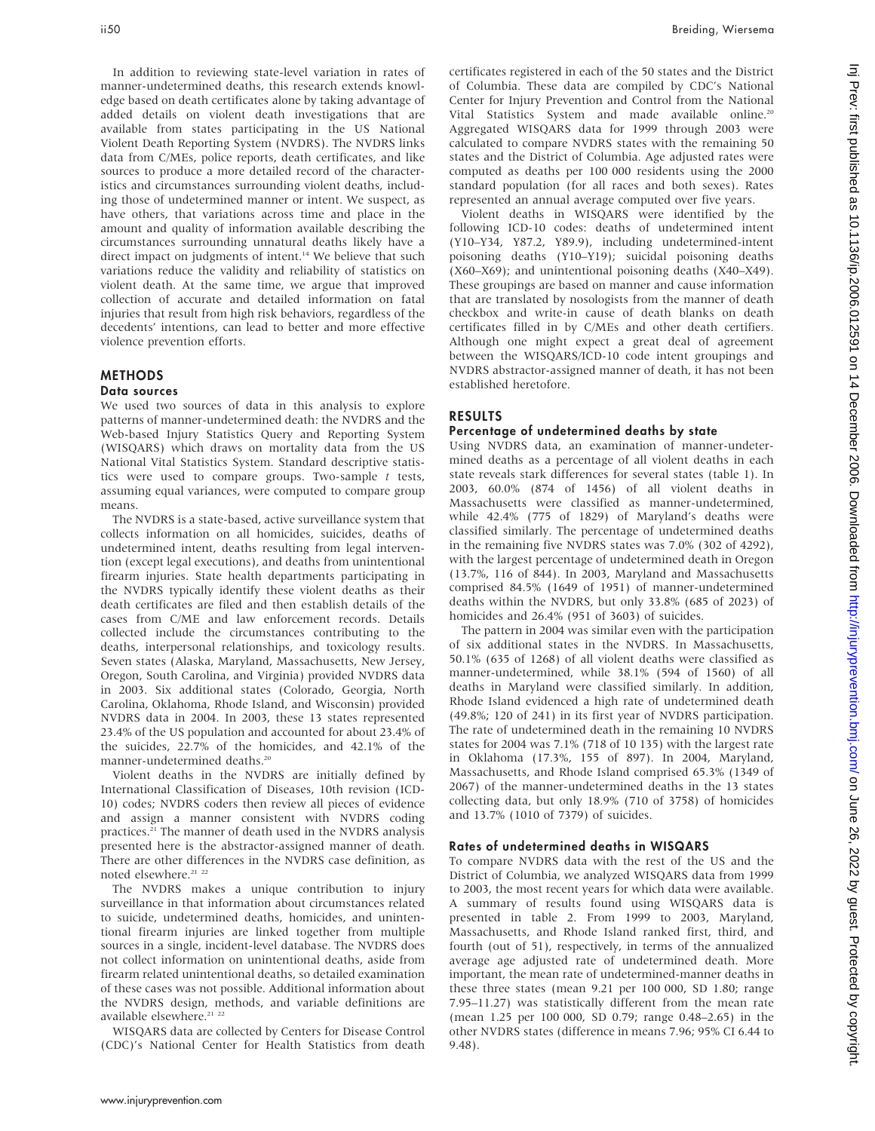In addition to reviewing state-level variation in rates of manner-undetermined deaths, this research extends knowledge based on death certificates alone by taking advantage of added details on violent death investigations that are available from states participating in the US National Violent Death Reporting System (NVDRS). The NVDRS links data from C/MEs, police reports, death certificates, and like sources to produce a more detailed record of the characteristics and circumstances surrounding violent deaths, including those of undetermined manner or intent. We suspect, as have others, that variations across time and place in the amount and quality of information available describing the circumstances surrounding unnatural deaths likely have a direct impact on judgments of intent.<sup>14</sup> We believe that such variations reduce the validity and reliability of statistics on violent death. At the same time, we argue that improved collection of accurate and detailed information on fatal injuries that result from high risk behaviors, regardless of the decedents' intentions, can lead to better and more effective violence prevention efforts.

### **METHODS**

#### Data sources

We used two sources of data in this analysis to explore patterns of manner-undetermined death: the NVDRS and the Web-based Injury Statistics Query and Reporting System (WISQARS) which draws on mortality data from the US National Vital Statistics System. Standard descriptive statistics were used to compare groups. Two-sample t tests, assuming equal variances, were computed to compare group means.

The NVDRS is a state-based, active surveillance system that collects information on all homicides, suicides, deaths of undetermined intent, deaths resulting from legal intervention (except legal executions), and deaths from unintentional firearm injuries. State health departments participating in the NVDRS typically identify these violent deaths as their death certificates are filed and then establish details of the cases from C/ME and law enforcement records. Details collected include the circumstances contributing to the deaths, interpersonal relationships, and toxicology results. Seven states (Alaska, Maryland, Massachusetts, New Jersey, Oregon, South Carolina, and Virginia) provided NVDRS data in 2003. Six additional states (Colorado, Georgia, North Carolina, Oklahoma, Rhode Island, and Wisconsin) provided NVDRS data in 2004. In 2003, these 13 states represented 23.4% of the US population and accounted for about 23.4% of the suicides, 22.7% of the homicides, and 42.1% of the manner-undetermined deaths.<sup>20</sup>

Violent deaths in the NVDRS are initially defined by International Classification of Diseases, 10th revision (ICD-10) codes; NVDRS coders then review all pieces of evidence and assign a manner consistent with NVDRS coding practices.21 The manner of death used in the NVDRS analysis presented here is the abstractor-assigned manner of death. There are other differences in the NVDRS case definition, as noted elsewhere.<sup>21</sup> <sup>22</sup>

The NVDRS makes a unique contribution to injury surveillance in that information about circumstances related to suicide, undetermined deaths, homicides, and unintentional firearm injuries are linked together from multiple sources in a single, incident-level database. The NVDRS does not collect information on unintentional deaths, aside from firearm related unintentional deaths, so detailed examination of these cases was not possible. Additional information about the NVDRS design, methods, and variable definitions are available elsewhere.<sup>21</sup> <sup>22</sup>

WISQARS data are collected by Centers for Disease Control (CDC)'s National Center for Health Statistics from death certificates registered in each of the 50 states and the District of Columbia. These data are compiled by CDC's National Center for Injury Prevention and Control from the National Vital Statistics System and made available online.<sup>20</sup> Aggregated WISQARS data for 1999 through 2003 were calculated to compare NVDRS states with the remaining 50 states and the District of Columbia. Age adjusted rates were computed as deaths per 100 000 residents using the 2000 standard population (for all races and both sexes). Rates represented an annual average computed over five years.

Violent deaths in WISQARS were identified by the following ICD-10 codes: deaths of undetermined intent (Y10–Y34, Y87.2, Y89.9), including undetermined-intent poisoning deaths (Y10–Y19); suicidal poisoning deaths (X60–X69); and unintentional poisoning deaths (X40–X49). These groupings are based on manner and cause information that are translated by nosologists from the manner of death checkbox and write-in cause of death blanks on death certificates filled in by C/MEs and other death certifiers. Although one might expect a great deal of agreement between the WISQARS/ICD-10 code intent groupings and NVDRS abstractor-assigned manner of death, it has not been established heretofore.

# RESULTS

### Percentage of undetermined deaths by state

Using NVDRS data, an examination of manner-undetermined deaths as a percentage of all violent deaths in each state reveals stark differences for several states (table 1). In 2003, 60.0% (874 of 1456) of all violent deaths in Massachusetts were classified as manner-undetermined, while 42.4% (775 of 1829) of Maryland's deaths were classified similarly. The percentage of undetermined deaths in the remaining five NVDRS states was 7.0% (302 of 4292), with the largest percentage of undetermined death in Oregon (13.7%, 116 of 844). In 2003, Maryland and Massachusetts comprised 84.5% (1649 of 1951) of manner-undetermined deaths within the NVDRS, but only 33.8% (685 of 2023) of homicides and 26.4% (951 of 3603) of suicides.

The pattern in 2004 was similar even with the participation of six additional states in the NVDRS. In Massachusetts, 50.1% (635 of 1268) of all violent deaths were classified as manner-undetermined, while 38.1% (594 of 1560) of all deaths in Maryland were classified similarly. In addition, Rhode Island evidenced a high rate of undetermined death (49.8%; 120 of 241) in its first year of NVDRS participation. The rate of undetermined death in the remaining 10 NVDRS states for 2004 was 7.1% (718 of 10 135) with the largest rate in Oklahoma (17.3%, 155 of 897). In 2004, Maryland, Massachusetts, and Rhode Island comprised 65.3% (1349 of 2067) of the manner-undetermined deaths in the 13 states collecting data, but only 18.9% (710 of 3758) of homicides and 13.7% (1010 of 7379) of suicides.

## Rates of undetermined deaths in WISQARS

To compare NVDRS data with the rest of the US and the District of Columbia, we analyzed WISQARS data from 1999 to 2003, the most recent years for which data were available. A summary of results found using WISQARS data is presented in table 2. From 1999 to 2003, Maryland, Massachusetts, and Rhode Island ranked first, third, and fourth (out of 51), respectively, in terms of the annualized average age adjusted rate of undetermined death. More important, the mean rate of undetermined-manner deaths in these three states (mean 9.21 per 100 000, SD 1.80; range 7.95–11.27) was statistically different from the mean rate (mean 1.25 per 100 000, SD 0.79; range 0.48–2.65) in the other NVDRS states (difference in means 7.96; 95% CI 6.44 to 9.48).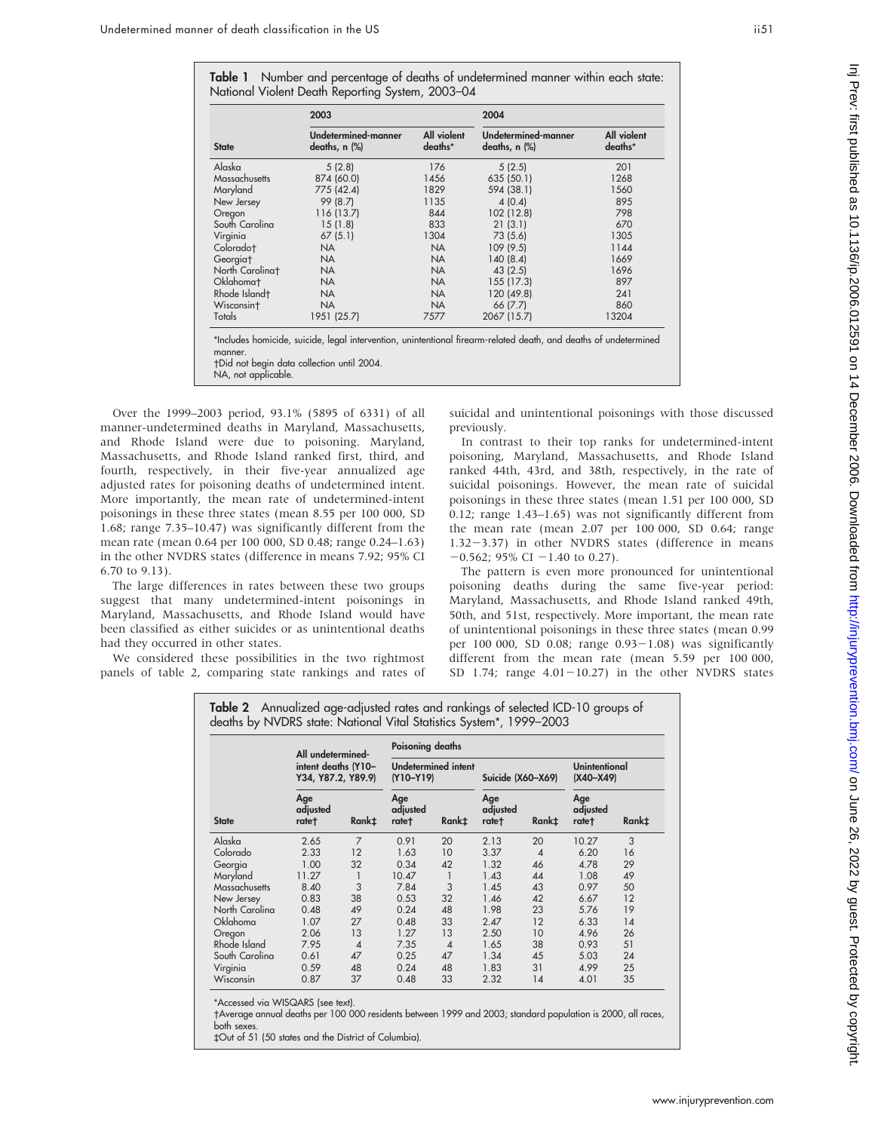Table 1 Number and percentage of deaths of undetermined manner within each state: National Violent Death Reporting System, 2003–04

|                       | 2003                                      |                        | 2004                                      |                        |  |  |
|-----------------------|-------------------------------------------|------------------------|-------------------------------------------|------------------------|--|--|
| <b>State</b>          | Undetermined-manner<br>deaths, $n$ $(\%)$ | All violent<br>deaths* | Undetermined-manner<br>deaths, $n$ $(\%)$ | All violent<br>deaths* |  |  |
| Alaska                | 5(2.8)                                    | 176                    | 5(2.5)                                    | 201                    |  |  |
| <b>Massachusetts</b>  | 874 (60.0)                                | 1456                   | 635 (50.1)                                | 1268                   |  |  |
| Maryland              | 775 (42.4)                                | 1829                   | 594 (38.1)                                | 1560                   |  |  |
| New Jersey            | 99(8.7)                                   | 1135                   | 4(0.4)                                    | 895                    |  |  |
| Oregon                | 116(13.7)                                 | 844                    | 102 (12.8)                                | 798                    |  |  |
| South Carolina        | 15(1.8)                                   | 833                    | 21(3.1)                                   | 670                    |  |  |
| Virginia              | 67(5.1)                                   | 1304                   | 73 (5.6)                                  | 1305                   |  |  |
| Colorado <sup>+</sup> | <b>NA</b>                                 | <b>NA</b>              | 109 (9.5)                                 | 1144                   |  |  |
| Georgia <sup>+</sup>  | <b>NA</b>                                 | <b>NA</b>              | 140(8.4)                                  | 1669                   |  |  |
| North Carolinat       | <b>NA</b>                                 | <b>NA</b>              | 43(2.5)                                   | 1696                   |  |  |
| Oklahomat             | <b>NA</b>                                 | <b>NA</b>              | 155 (17.3)                                | 897                    |  |  |
| Rhode Islandt         | <b>NA</b>                                 | <b>NA</b>              | 120 (49.8)                                | 241                    |  |  |
| Wisconsint            | <b>NA</b>                                 | <b>NA</b>              | 66 (7.7)                                  | 860                    |  |  |
| Totals                | 1951 (25.7)                               | 7577                   | 2067 (15.7)                               | 13204                  |  |  |

Over the 1999–2003 period, 93.1% (5895 of 6331) of all manner-undetermined deaths in Maryland, Massachusetts, and Rhode Island were due to poisoning. Maryland, Massachusetts, and Rhode Island ranked first, third, and fourth, respectively, in their five-year annualized age adjusted rates for poisoning deaths of undetermined intent. More importantly, the mean rate of undetermined-intent poisonings in these three states (mean 8.55 per 100 000, SD 1.68; range 7.35–10.47) was significantly different from the mean rate (mean 0.64 per 100 000, SD 0.48; range 0.24–1.63) in the other NVDRS states (difference in means 7.92; 95% CI 6.70 to 9.13).

The large differences in rates between these two groups suggest that many undetermined-intent poisonings in Maryland, Massachusetts, and Rhode Island would have been classified as either suicides or as unintentional deaths had they occurred in other states.

We considered these possibilities in the two rightmost panels of table 2, comparing state rankings and rates of suicidal and unintentional poisonings with those discussed previously.

In contrast to their top ranks for undetermined-intent poisoning, Maryland, Massachusetts, and Rhode Island ranked 44th, 43rd, and 38th, respectively, in the rate of suicidal poisonings. However, the mean rate of suicidal poisonings in these three states (mean 1.51 per 100 000, SD 0.12; range 1.43–1.65) was not significantly different from the mean rate (mean 2.07 per 100 000, SD 0.64; range  $1.32 - 3.37$ ) in other NVDRS states (difference in means  $-0.562$ ; 95% CI  $-1.40$  to 0.27).

The pattern is even more pronounced for unintentional poisoning deaths during the same five-year period: Maryland, Massachusetts, and Rhode Island ranked 49th, 50th, and 51st, respectively. More important, the mean rate of unintentional poisonings in these three states (mean 0.99 per 100 000, SD 0.08; range  $0.93-1.08$ ) was significantly different from the mean rate (mean 5.59 per 100 000, SD 1.74; range  $4.01-10.27$ ) in the other NVDRS states

**Table 2** Annualized age-adjusted rates and rankings of selected ICD-10 groups of deaths by NVDRS state: National Vital Statistics System\*, 1999–2003

| $\epsilon$     |                                           |                   |                                           |                  |                          |                |                                |       |  |  |
|----------------|-------------------------------------------|-------------------|-------------------------------------------|------------------|--------------------------|----------------|--------------------------------|-------|--|--|
|                |                                           | All undetermined- |                                           | Poisoning deaths |                          |                |                                |       |  |  |
|                | intent deaths (Y10-<br>Y34, Y87.2, Y89.9) |                   | <b>Undetermined intent</b><br>$(Y10-Y19)$ |                  | Suicide (X60-X69)        |                | Unintentional<br>$(X40 - X49)$ |       |  |  |
| <b>State</b>   | Age<br>adjusted<br>rate+                  | Rank‡             | Age<br>adjusted<br>rate†                  | Rank‡            | Age<br>adjusted<br>rate+ | Rank‡          | Age<br>adjusted<br>rate†       | Rank‡ |  |  |
| Alaska         | 2.65                                      | $\overline{7}$    | 0.91                                      | 20               | 2.13                     | 20             | 10.27                          | 3     |  |  |
| Colorado       | 2.33                                      | 12                | 1.63                                      | 10               | 3.37                     | $\overline{4}$ | 6.20                           | 16    |  |  |
| Georgia        | 1.00                                      | 32                | 0.34                                      | 42               | 1.32                     | 46             | 4.78                           | 29    |  |  |
| Maryland       | 11.27                                     |                   | 10.47                                     |                  | 1.43                     | 44             | 1.08                           | 49    |  |  |
| Massachusetts  | 8.40                                      | 3                 | 7.84                                      | 3                | 1.45                     | 43             | 0.97                           | 50    |  |  |
| New Jersey     | 0.83                                      | 38                | 0.53                                      | 32               | 1.46                     | 42             | 6.67                           | 12    |  |  |
| North Carolina | 0.48                                      | 49                | 0.24                                      | 48               | 1.98                     | 23             | 5.76                           | 19    |  |  |
| Oklahoma       | 1.07                                      | 27                | 0.48                                      | 33               | 2.47                     | 12             | 6.33                           | 14    |  |  |
| Oregon         | 2.06                                      | 13                | 1.27                                      | 13               | 2.50                     | 10             | 4.96                           | 26    |  |  |
| Rhode Island   | 7.95                                      | $\overline{4}$    | 7.35                                      | 4                | 1.65                     | 38             | 0.93                           | 51    |  |  |
| South Carolina | 0.61                                      | 47                | 0.25                                      | 47               | 1.34                     | 45             | 5.03                           | 24    |  |  |
| Virginia       | 0.59                                      | 48                | 0.24                                      | 48               | 1.83                     | 31             | 4.99                           | 25    |  |  |
| Wisconsin      | 0.87                                      | 37                | 0.48                                      | 33               | 2.32                     | 14             | 4.01                           | 35    |  |  |

\*Accessed via WISQARS (see text).

Average annual deaths per 100 000 residents between 1999 and 2003; standard population is 2000, all races, both sexes.

`Out of 51 (50 states and the District of Columbia).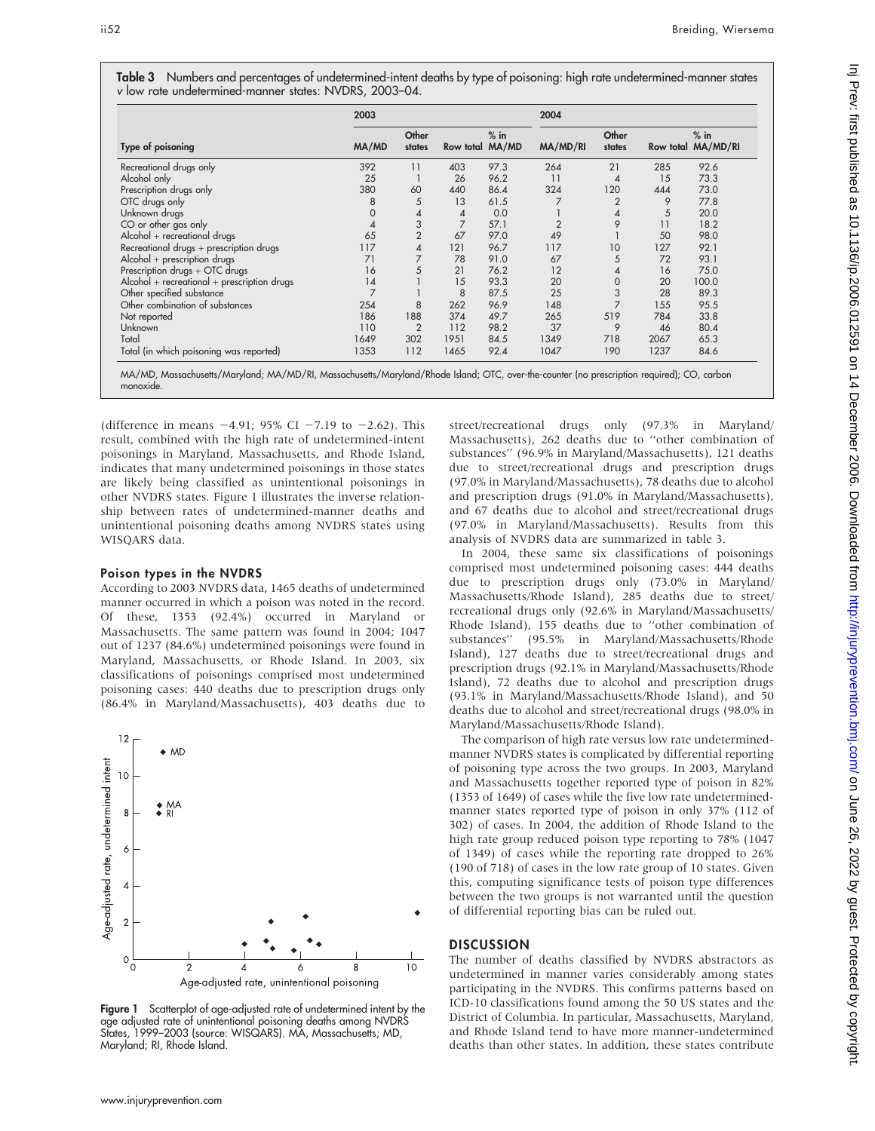Table 3 Numbers and percentages of undetermined-intent deaths by type of poisoning: high rate undetermined-manner states v low rate undetermined-manner states: NVDRS, 2003–04.

|                                                     | 2003           |                 |                 |        | 2004           |                 |      |                              |
|-----------------------------------------------------|----------------|-----------------|-----------------|--------|----------------|-----------------|------|------------------------------|
| Type of poisoning                                   | MA/MD          | Other<br>states | Row total MA/MD | $%$ in | MA/MD/RI       | Other<br>states |      | $%$ in<br>Row total MA/MD/RI |
| Recreational drugs only                             | 392            | 11              | 403             | 97.3   | 264            | 21              | 285  | 92.6                         |
| Alcohol only                                        | 25             |                 | 26              | 96.2   | 11             | 4               | 15   | 73.3                         |
| Prescription drugs only                             | 380            | 60              | 440             | 86.4   | 324            | 120             | 444  | 73.0                         |
| OTC drugs only                                      | 8              | 5               | 13              | 61.5   |                | $\overline{2}$  | 9    | 77.8                         |
| Unknown drugs                                       | $\mathbf 0$    | 4               | $\overline{4}$  | 0.0    |                | 4               | 5    | 20.0                         |
| CO or other gas only                                | 4              | 3               | $\overline{7}$  | 57.1   | $\overline{2}$ | 9               | 11   | 18.2                         |
| Alcohol + recreational drugs                        | 65             | $\overline{2}$  | 67              | 97.0   | 49             |                 | 50   | 98.0                         |
| Recreational drugs + prescription drugs             | 117            | 4               | 121             | 96.7   | 117            | 10              | 127  | 92.1                         |
| Alcohol + prescription drugs                        | 71             | 7               | 78              | 91.0   | 67             | 5               | 72   | 93.1                         |
| Prescription drugs + OTC drugs                      | 16             | 5               | 21              | 76.2   | 12             | 4               | 16   | 75.0                         |
| $\lambda$ cohol + recreational + prescription drugs | 14             |                 | 15              | 93.3   | 20             | $\mathbf 0$     | 20   | 100.0                        |
| Other specified substance                           | $\overline{7}$ |                 | 8               | 87.5   | 25             | 3               | 28   | 89.3                         |
| Other combination of substances                     | 254            | 8               | 262             | 96.9   | 148            | $\overline{7}$  | 155  | 95.5                         |
| Not reported                                        | 186            | 188             | 374             | 49.7   | 265            | 519             | 784  | 33.8                         |
| Unknown                                             | 110            | $\overline{2}$  | 112             | 98.2   | 37             | 9               | 46   | 80.4                         |
| Total                                               | 1649           | 302             | 1951            | 84.5   | 1349           | 718             | 2067 | 65.3                         |
| Total (in which poisoning was reported)             | 1353           | 112             | 1465            | 92.4   | 1047           | 190             | 1237 | 84.6                         |

(difference in means  $-4.91$ ; 95% CI  $-7.19$  to  $-2.62$ ). This result, combined with the high rate of undetermined-intent poisonings in Maryland, Massachusetts, and Rhode Island, indicates that many undetermined poisonings in those states are likely being classified as unintentional poisonings in other NVDRS states. Figure 1 illustrates the inverse relationship between rates of undetermined-manner deaths and unintentional poisoning deaths among NVDRS states using WISQARS data.

#### Poison types in the NVDRS

According to 2003 NVDRS data, 1465 deaths of undetermined manner occurred in which a poison was noted in the record. Of these, 1353 (92.4%) occurred in Maryland or Massachusetts. The same pattern was found in 2004; 1047 out of 1237 (84.6%) undetermined poisonings were found in Maryland, Massachusetts, or Rhode Island. In 2003, six classifications of poisonings comprised most undetermined poisoning cases: 440 deaths due to prescription drugs only (86.4% in Maryland/Massachusetts), 403 deaths due to



Figure 1 Scatterplot of age-adjusted rate of undetermined intent by the age adjusted rate of unintentional poisoning deaths among NVDRS States, 1999–2003 (source: WISQARS). MA, Massachusetts; MD, Maryland; RI, Rhode Island.

street/recreational drugs only (97.3% in Maryland/ Massachusetts), 262 deaths due to ''other combination of substances'' (96.9% in Maryland/Massachusetts), 121 deaths due to street/recreational drugs and prescription drugs (97.0% in Maryland/Massachusetts), 78 deaths due to alcohol and prescription drugs (91.0% in Maryland/Massachusetts), and 67 deaths due to alcohol and street/recreational drugs (97.0% in Maryland/Massachusetts). Results from this analysis of NVDRS data are summarized in table 3.

In 2004, these same six classifications of poisonings comprised most undetermined poisoning cases: 444 deaths due to prescription drugs only (73.0% in Maryland/ Massachusetts/Rhode Island), 285 deaths due to street/ recreational drugs only (92.6% in Maryland/Massachusetts/ Rhode Island), 155 deaths due to ''other combination of substances'' (95.5% in Maryland/Massachusetts/Rhode Island), 127 deaths due to street/recreational drugs and prescription drugs (92.1% in Maryland/Massachusetts/Rhode Island), 72 deaths due to alcohol and prescription drugs (93.1% in Maryland/Massachusetts/Rhode Island), and 50 deaths due to alcohol and street/recreational drugs (98.0% in Maryland/Massachusetts/Rhode Island).

The comparison of high rate versus low rate undeterminedmanner NVDRS states is complicated by differential reporting of poisoning type across the two groups. In 2003, Maryland and Massachusetts together reported type of poison in 82% (1353 of 1649) of cases while the five low rate undeterminedmanner states reported type of poison in only 37% (112 of 302) of cases. In 2004, the addition of Rhode Island to the high rate group reduced poison type reporting to 78% (1047 of 1349) of cases while the reporting rate dropped to 26% (190 of 718) of cases in the low rate group of 10 states. Given this, computing significance tests of poison type differences between the two groups is not warranted until the question of differential reporting bias can be ruled out.

### **DISCUSSION**

The number of deaths classified by NVDRS abstractors as undetermined in manner varies considerably among states participating in the NVDRS. This confirms patterns based on ICD-10 classifications found among the 50 US states and the District of Columbia. In particular, Massachusetts, Maryland, and Rhode Island tend to have more manner-undetermined deaths than other states. In addition, these states contribute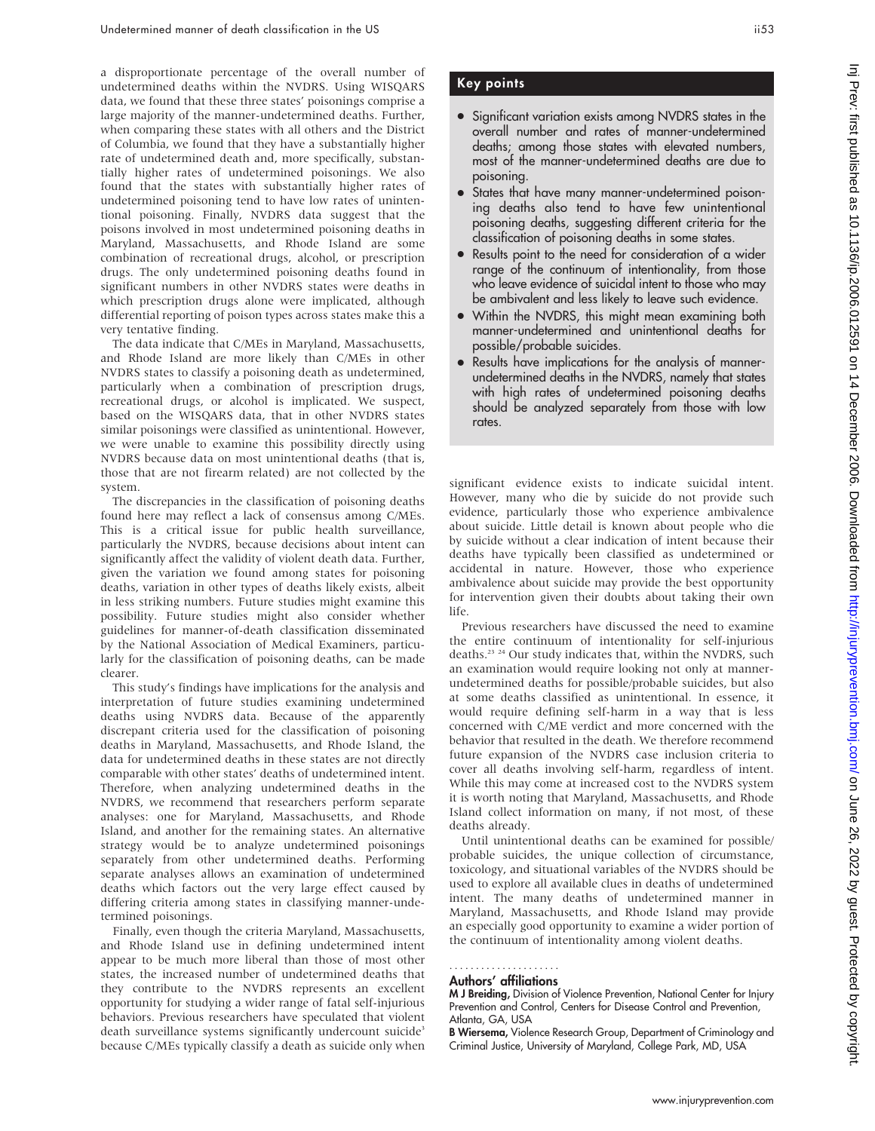a disproportionate percentage of the overall number of undetermined deaths within the NVDRS. Using WISQARS data, we found that these three states' poisonings comprise a large majority of the manner-undetermined deaths. Further, when comparing these states with all others and the District of Columbia, we found that they have a substantially higher rate of undetermined death and, more specifically, substantially higher rates of undetermined poisonings. We also found that the states with substantially higher rates of undetermined poisoning tend to have low rates of unintentional poisoning. Finally, NVDRS data suggest that the poisons involved in most undetermined poisoning deaths in Maryland, Massachusetts, and Rhode Island are some combination of recreational drugs, alcohol, or prescription drugs. The only undetermined poisoning deaths found in significant numbers in other NVDRS states were deaths in which prescription drugs alone were implicated, although differential reporting of poison types across states make this a very tentative finding.

The data indicate that C/MEs in Maryland, Massachusetts, and Rhode Island are more likely than C/MEs in other NVDRS states to classify a poisoning death as undetermined, particularly when a combination of prescription drugs, recreational drugs, or alcohol is implicated. We suspect, based on the WISQARS data, that in other NVDRS states similar poisonings were classified as unintentional. However, we were unable to examine this possibility directly using NVDRS because data on most unintentional deaths (that is, those that are not firearm related) are not collected by the system.

The discrepancies in the classification of poisoning deaths found here may reflect a lack of consensus among C/MEs. This is a critical issue for public health surveillance, particularly the NVDRS, because decisions about intent can significantly affect the validity of violent death data. Further, given the variation we found among states for poisoning deaths, variation in other types of deaths likely exists, albeit in less striking numbers. Future studies might examine this possibility. Future studies might also consider whether guidelines for manner-of-death classification disseminated by the National Association of Medical Examiners, particularly for the classification of poisoning deaths, can be made clearer.

This study's findings have implications for the analysis and interpretation of future studies examining undetermined deaths using NVDRS data. Because of the apparently discrepant criteria used for the classification of poisoning deaths in Maryland, Massachusetts, and Rhode Island, the data for undetermined deaths in these states are not directly comparable with other states' deaths of undetermined intent. Therefore, when analyzing undetermined deaths in the NVDRS, we recommend that researchers perform separate analyses: one for Maryland, Massachusetts, and Rhode Island, and another for the remaining states. An alternative strategy would be to analyze undetermined poisonings separately from other undetermined deaths. Performing separate analyses allows an examination of undetermined deaths which factors out the very large effect caused by differing criteria among states in classifying manner-undetermined poisonings.

Finally, even though the criteria Maryland, Massachusetts, and Rhode Island use in defining undetermined intent appear to be much more liberal than those of most other states, the increased number of undetermined deaths that they contribute to the NVDRS represents an excellent opportunity for studying a wider range of fatal self-injurious behaviors. Previous researchers have speculated that violent death surveillance systems significantly undercount suicide<sup>3</sup> because C/MEs typically classify a death as suicide only when

# Key points

- Significant variation exists among NVDRS states in the overall number and rates of manner-undetermined deaths; among those states with elevated numbers, most of the manner-undetermined deaths are due to poisoning.
- States that have many manner-undetermined poisoning deaths also tend to have few unintentional poisoning deaths, suggesting different criteria for the classification of poisoning deaths in some states.
- Results point to the need for consideration of a wider range of the continuum of intentionality, from those who leave evidence of suicidal intent to those who may be ambivalent and less likely to leave such evidence.
- Within the NVDRS, this might mean examining both manner-undetermined and unintentional deaths for possible/probable suicides.
- Results have implications for the analysis of mannerundetermined deaths in the NVDRS, namely that states with high rates of undetermined poisoning deaths should be analyzed separately from those with low rates.

significant evidence exists to indicate suicidal intent. However, many who die by suicide do not provide such evidence, particularly those who experience ambivalence about suicide. Little detail is known about people who die by suicide without a clear indication of intent because their deaths have typically been classified as undetermined or accidental in nature. However, those who experience ambivalence about suicide may provide the best opportunity for intervention given their doubts about taking their own life.

Previous researchers have discussed the need to examine the entire continuum of intentionality for self-injurious deaths.<sup>23</sup> <sup>24</sup> Our study indicates that, within the NVDRS, such an examination would require looking not only at mannerundetermined deaths for possible/probable suicides, but also at some deaths classified as unintentional. In essence, it would require defining self-harm in a way that is less concerned with C/ME verdict and more concerned with the behavior that resulted in the death. We therefore recommend future expansion of the NVDRS case inclusion criteria to cover all deaths involving self-harm, regardless of intent. While this may come at increased cost to the NVDRS system it is worth noting that Maryland, Massachusetts, and Rhode Island collect information on many, if not most, of these deaths already.

Until unintentional deaths can be examined for possible/ probable suicides, the unique collection of circumstance, toxicology, and situational variables of the NVDRS should be used to explore all available clues in deaths of undetermined intent. The many deaths of undetermined manner in Maryland, Massachusetts, and Rhode Island may provide an especially good opportunity to examine a wider portion of the continuum of intentionality among violent deaths.

#### Authors' affiliations .....................

M J Breiding, Division of Violence Prevention, National Center for Injury

Prevention and Control, Centers for Disease Control and Prevention, Atlanta, GA, USA

B Wiersema, Violence Research Group, Department of Criminology and Criminal Justice, University of Maryland, College Park, MD, USA